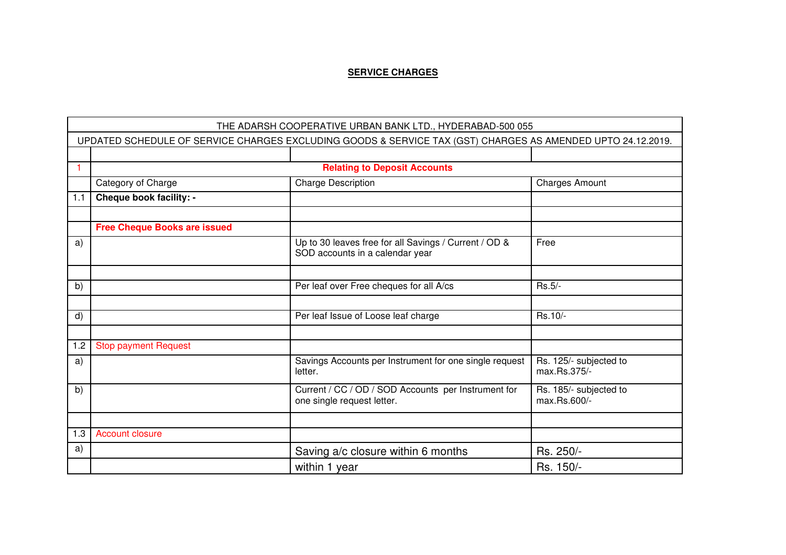## **SERVICE CHARGES**

|     | THE ADARSH COOPERATIVE URBAN BANK LTD., HYDERABAD-500 055                                                   |                                                                                          |                                        |  |
|-----|-------------------------------------------------------------------------------------------------------------|------------------------------------------------------------------------------------------|----------------------------------------|--|
|     | UPDATED SCHEDULE OF SERVICE CHARGES EXCLUDING GOODS & SERVICE TAX (GST) CHARGES AS AMENDED UPTO 24.12.2019. |                                                                                          |                                        |  |
|     |                                                                                                             |                                                                                          |                                        |  |
|     |                                                                                                             | <b>Relating to Deposit Accounts</b>                                                      |                                        |  |
|     | Category of Charge                                                                                          | <b>Charge Description</b>                                                                | <b>Charges Amount</b>                  |  |
| 1.1 | Cheque book facility: -                                                                                     |                                                                                          |                                        |  |
|     |                                                                                                             |                                                                                          |                                        |  |
|     | <b>Free Cheque Books are issued</b>                                                                         |                                                                                          |                                        |  |
| a)  |                                                                                                             | Up to 30 leaves free for all Savings / Current / OD &<br>SOD accounts in a calendar year | Free                                   |  |
|     |                                                                                                             |                                                                                          |                                        |  |
| b)  |                                                                                                             | Per leaf over Free cheques for all A/cs                                                  | Rs.5/-                                 |  |
|     |                                                                                                             |                                                                                          |                                        |  |
| d)  |                                                                                                             | Per leaf Issue of Loose leaf charge                                                      | Rs.10/-                                |  |
|     |                                                                                                             |                                                                                          |                                        |  |
| 1.2 | <b>Stop payment Request</b>                                                                                 |                                                                                          |                                        |  |
| a)  |                                                                                                             | Savings Accounts per Instrument for one single request<br>letter.                        | Rs. 125/- subjected to<br>max.Rs.375/- |  |
| b)  |                                                                                                             | Current / CC / OD / SOD Accounts per Instrument for<br>one single request letter.        | Rs. 185/- subjected to<br>max.Rs.600/- |  |
|     |                                                                                                             |                                                                                          |                                        |  |
| 1.3 | <b>Account closure</b>                                                                                      |                                                                                          |                                        |  |
| a)  |                                                                                                             | Saving a/c closure within 6 months                                                       | Rs. 250/-                              |  |
|     |                                                                                                             | within 1 year                                                                            | Rs. 150/-                              |  |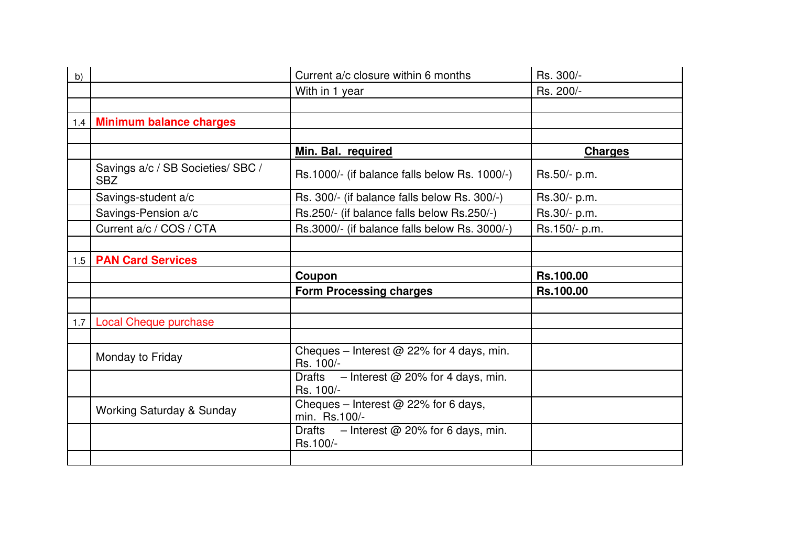| b)  |                                                 | Current a/c closure within 6 months                      | Rs. 300/-        |
|-----|-------------------------------------------------|----------------------------------------------------------|------------------|
|     |                                                 | With in 1 year                                           | Rs. 200/-        |
|     |                                                 |                                                          |                  |
|     | 1.4   Minimum balance charges                   |                                                          |                  |
|     |                                                 |                                                          |                  |
|     |                                                 | Min. Bal. required                                       | <b>Charges</b>   |
|     | Savings a/c / SB Societies/ SBC /<br><b>SBZ</b> | Rs.1000/- (if balance falls below Rs. 1000/-)            | Rs.50/- p.m.     |
|     | Savings-student a/c                             | Rs. 300/- (if balance falls below Rs. 300/-)             | Rs.30/- p.m.     |
|     | Savings-Pension a/c                             | Rs.250/- (if balance falls below Rs.250/-)               | Rs.30/- p.m.     |
|     | Current a/c / COS / CTA                         | Rs.3000/- (if balance falls below Rs. 3000/-)            | Rs.150/- p.m.    |
|     |                                                 |                                                          |                  |
| 1.5 | <b>PAN Card Services</b>                        |                                                          |                  |
|     |                                                 |                                                          |                  |
|     |                                                 | Coupon                                                   | <b>Rs.100.00</b> |
|     |                                                 | <b>Form Processing charges</b>                           | Rs.100.00        |
|     |                                                 |                                                          |                  |
| 1.7 | <b>Local Cheque purchase</b>                    |                                                          |                  |
|     |                                                 |                                                          |                  |
|     | Monday to Friday                                | Cheques - Interest $@$ 22% for 4 days, min.<br>Rs. 100/- |                  |
|     |                                                 | Drafts $-$ Interest @ 20% for 4 days, min.<br>Rs. 100/-  |                  |
|     | <b>Working Saturday &amp; Sunday</b>            | Cheques – Interest $@$ 22% for 6 days,<br>min. Rs.100/-  |                  |
|     |                                                 | Drafts $-$ Interest @ 20% for 6 days, min.<br>Rs.100/-   |                  |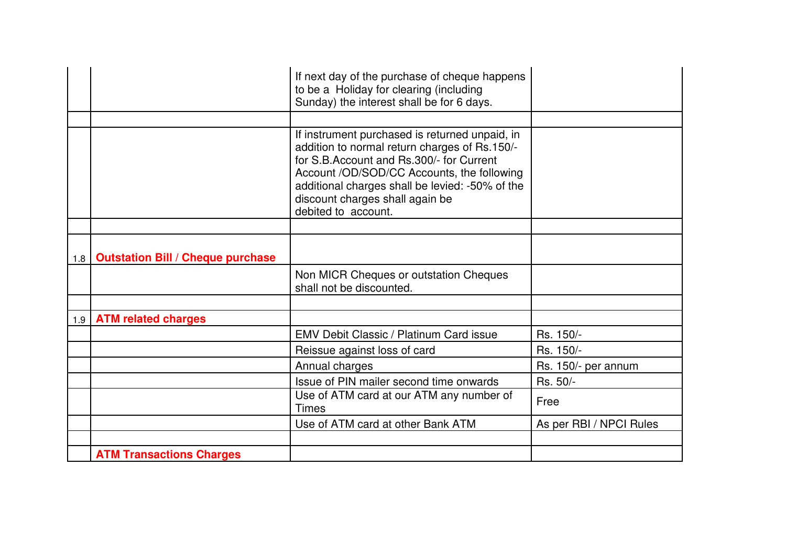|                  |                                          | If next day of the purchase of cheque happens<br>to be a Holiday for clearing (including<br>Sunday) the interest shall be for 6 days.                                                                                                                                                                  |                         |
|------------------|------------------------------------------|--------------------------------------------------------------------------------------------------------------------------------------------------------------------------------------------------------------------------------------------------------------------------------------------------------|-------------------------|
|                  |                                          |                                                                                                                                                                                                                                                                                                        |                         |
|                  |                                          | If instrument purchased is returned unpaid, in<br>addition to normal return charges of Rs.150/-<br>for S.B.Account and Rs.300/- for Current<br>Account /OD/SOD/CC Accounts, the following<br>additional charges shall be levied: -50% of the<br>discount charges shall again be<br>debited to account. |                         |
|                  |                                          |                                                                                                                                                                                                                                                                                                        |                         |
| 1.8 <sub>1</sub> | <b>Outstation Bill / Cheque purchase</b> |                                                                                                                                                                                                                                                                                                        |                         |
|                  |                                          | Non MICR Cheques or outstation Cheques<br>shall not be discounted.                                                                                                                                                                                                                                     |                         |
|                  |                                          |                                                                                                                                                                                                                                                                                                        |                         |
|                  | 1.9   ATM related charges                |                                                                                                                                                                                                                                                                                                        |                         |
|                  |                                          | <b>EMV Debit Classic / Platinum Card issue</b>                                                                                                                                                                                                                                                         | Rs. 150/-               |
|                  |                                          | Reissue against loss of card                                                                                                                                                                                                                                                                           | Rs. 150/-               |
|                  |                                          | Annual charges                                                                                                                                                                                                                                                                                         | Rs. 150/- per annum     |
|                  |                                          | Issue of PIN mailer second time onwards                                                                                                                                                                                                                                                                | Rs. 50/-                |
|                  |                                          | Use of ATM card at our ATM any number of<br><b>Times</b>                                                                                                                                                                                                                                               | Free                    |
|                  |                                          | Use of ATM card at other Bank ATM                                                                                                                                                                                                                                                                      | As per RBI / NPCI Rules |
|                  |                                          |                                                                                                                                                                                                                                                                                                        |                         |
|                  | <b>ATM Transactions Charges</b>          |                                                                                                                                                                                                                                                                                                        |                         |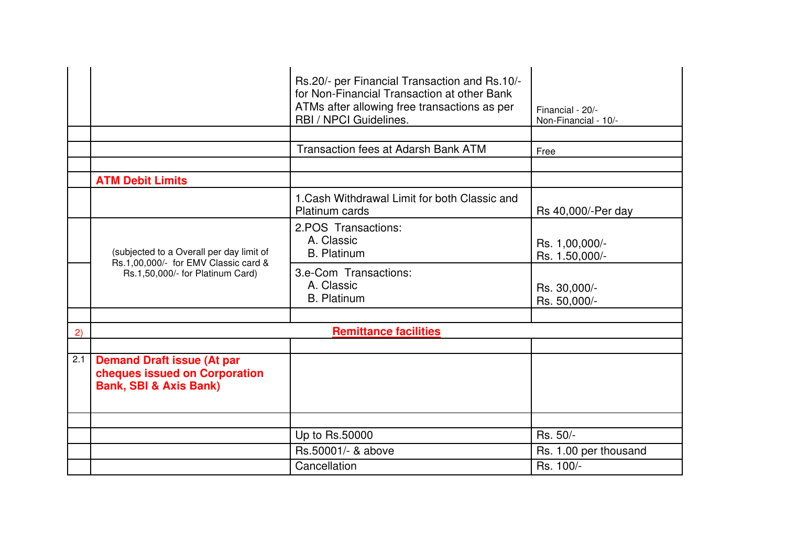|     |                                                                                                         | Rs.20/- per Financial Transaction and Rs.10/-<br>for Non-Financial Transaction at other Bank<br>ATMs after allowing free transactions as per<br>RBI / NPCI Guidelines. | Financial - 20/-<br>Non-Financial - 10/- |
|-----|---------------------------------------------------------------------------------------------------------|------------------------------------------------------------------------------------------------------------------------------------------------------------------------|------------------------------------------|
|     |                                                                                                         | <b>Transaction fees at Adarsh Bank ATM</b>                                                                                                                             | Free                                     |
|     | <b>ATM Debit Limits</b>                                                                                 |                                                                                                                                                                        |                                          |
|     |                                                                                                         | 1. Cash Withdrawal Limit for both Classic and<br><b>Platinum cards</b>                                                                                                 | Rs 40,000/-Per day                       |
|     | (subjected to a Overall per day limit of<br>Rs.1,00,000/- for EMV Classic card &                        | 2.POS Transactions:<br>A. Classic<br><b>B.</b> Platinum                                                                                                                | Rs. 1,00,000/-<br>Rs. 1.50,000/-         |
|     | Rs.1,50,000/- for Platinum Card)                                                                        | 3.e-Com Transactions:<br>A. Classic<br><b>B.</b> Platinum                                                                                                              | Rs. 30,000/-<br>Rs. 50,000/-             |
|     |                                                                                                         |                                                                                                                                                                        |                                          |
| 2)  |                                                                                                         | <b>Remittance facilities</b>                                                                                                                                           |                                          |
| 2.1 | <b>Demand Draft issue (At par</b><br>cheques issued on Corporation<br><b>Bank, SBI &amp; Axis Bank)</b> |                                                                                                                                                                        |                                          |
|     |                                                                                                         |                                                                                                                                                                        |                                          |
|     |                                                                                                         | Up to Rs.50000                                                                                                                                                         | Rs. 50/-                                 |
|     |                                                                                                         | Rs.50001/- & above                                                                                                                                                     | Rs. 1.00 per thousand                    |
|     |                                                                                                         | Cancellation                                                                                                                                                           | Rs. 100/-                                |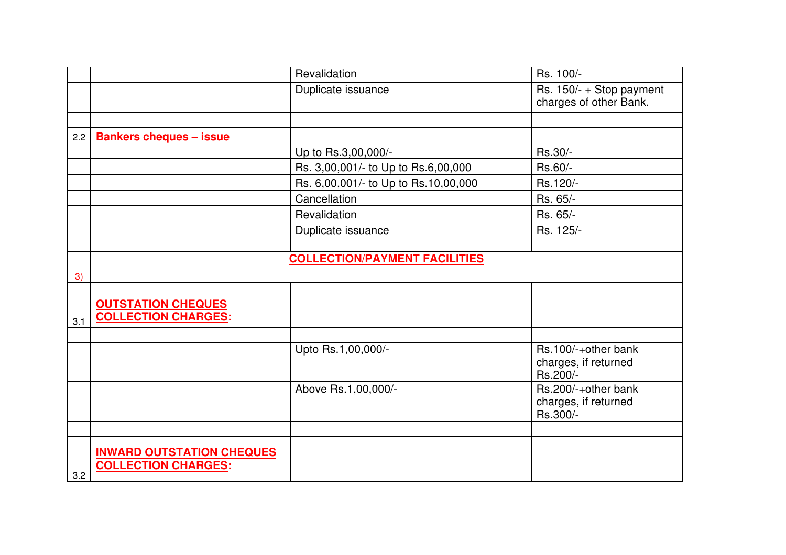|     |                                                                | Revalidation                         | Rs. 100/-                                               |
|-----|----------------------------------------------------------------|--------------------------------------|---------------------------------------------------------|
|     |                                                                | Duplicate issuance                   | Rs. 150/- + Stop payment<br>charges of other Bank.      |
|     |                                                                |                                      |                                                         |
| 2.2 | <b>Bankers cheques - issue</b>                                 |                                      |                                                         |
|     |                                                                | Up to Rs.3,00,000/-                  | Rs.30/-                                                 |
|     |                                                                | Rs. 3,00,001/- to Up to Rs.6,00,000  | Rs.60/-                                                 |
|     |                                                                | Rs. 6,00,001/- to Up to Rs.10,00,000 | Rs.120/-                                                |
|     |                                                                | Cancellation                         | Rs. 65/-                                                |
|     |                                                                | Revalidation                         | Rs. 65/-                                                |
|     |                                                                | Duplicate issuance                   | Rs. 125/-                                               |
|     |                                                                |                                      |                                                         |
|     |                                                                | <b>COLLECTION/PAYMENT FACILITIES</b> |                                                         |
| 3)  |                                                                |                                      |                                                         |
|     |                                                                |                                      |                                                         |
| 3.1 | <b>OUTSTATION CHEQUES</b><br><b>COLLECTION CHARGES:</b>        |                                      |                                                         |
|     |                                                                |                                      |                                                         |
|     |                                                                | Upto Rs.1,00,000/-                   | Rs.100/-+other bank<br>charges, if returned<br>Rs.200/- |
|     |                                                                | Above Rs.1,00,000/-                  | Rs.200/-+other bank<br>charges, if returned<br>Rs.300/- |
|     |                                                                |                                      |                                                         |
| 3.2 | <b>INWARD OUTSTATION CHEQUES</b><br><b>COLLECTION CHARGES:</b> |                                      |                                                         |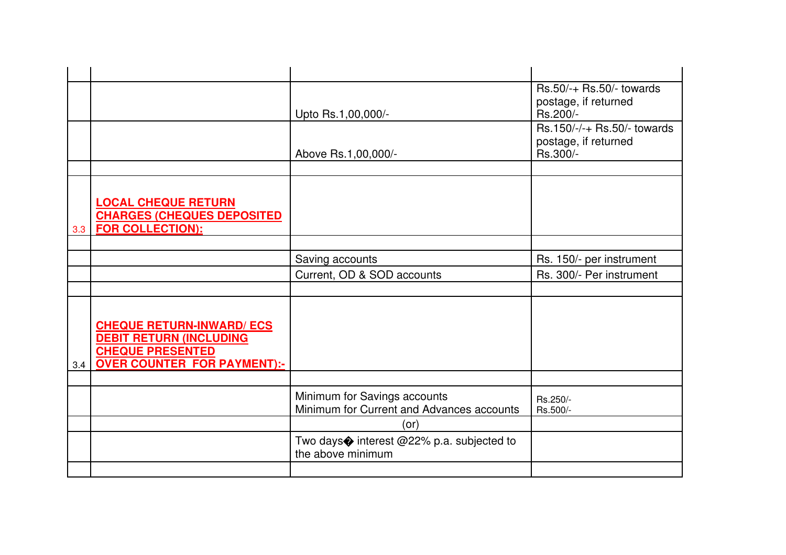|     |                                                                                                                                     |                                                                           | $Rs.50/+$ Rs.50/- towards                                       |
|-----|-------------------------------------------------------------------------------------------------------------------------------------|---------------------------------------------------------------------------|-----------------------------------------------------------------|
|     |                                                                                                                                     | Upto Rs.1,00,000/-                                                        | postage, if returned<br>Rs.200/-                                |
|     |                                                                                                                                     | Above Rs.1,00,000/-                                                       | Rs.150/-/-+ Rs.50/- towards<br>postage, if returned<br>Rs.300/- |
|     |                                                                                                                                     |                                                                           |                                                                 |
|     | <b>LOCAL CHEQUE RETURN</b><br><b>CHARGES (CHEQUES DEPOSITED)</b><br>3.3   FOR COLLECTION):                                          |                                                                           |                                                                 |
|     |                                                                                                                                     |                                                                           |                                                                 |
|     |                                                                                                                                     | Saving accounts                                                           | Rs. 150/- per instrument                                        |
|     |                                                                                                                                     | Current, OD & SOD accounts                                                | Rs. 300/- Per instrument                                        |
|     |                                                                                                                                     |                                                                           |                                                                 |
| 3.4 | <b>CHEQUE RETURN-INWARD/ ECS</b><br><b>DEBIT RETURN (INCLUDING</b><br><b>CHEQUE PRESENTED</b><br><b>OVER COUNTER FOR PAYMENT):-</b> |                                                                           |                                                                 |
|     |                                                                                                                                     |                                                                           |                                                                 |
|     |                                                                                                                                     | Minimum for Savings accounts<br>Minimum for Current and Advances accounts | Rs.250/-<br>Rs.500/-                                            |
|     |                                                                                                                                     | (or)                                                                      |                                                                 |
|     |                                                                                                                                     | Two days� interest @22% p.a. subjected to<br>the above minimum            |                                                                 |
|     |                                                                                                                                     |                                                                           |                                                                 |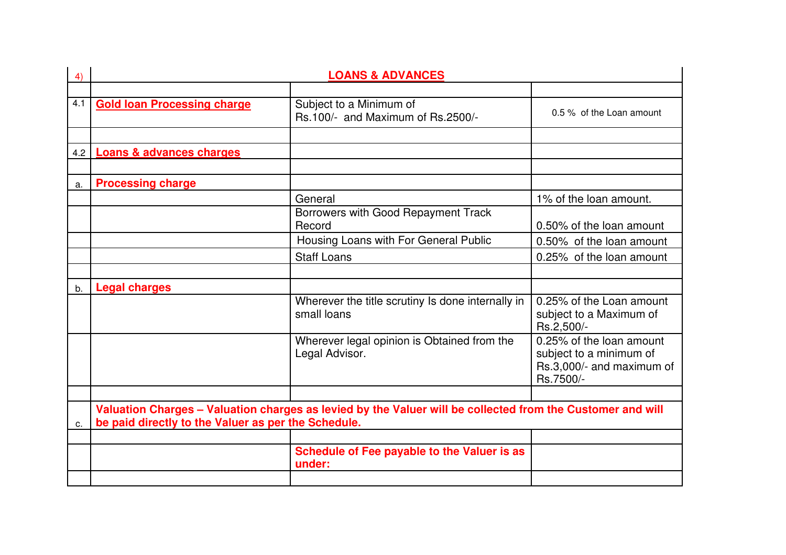| 4)  |                                                     |                                                                                                            |                                                                                               |
|-----|-----------------------------------------------------|------------------------------------------------------------------------------------------------------------|-----------------------------------------------------------------------------------------------|
|     |                                                     |                                                                                                            |                                                                                               |
| 4.1 | <b>Gold loan Processing charge</b>                  | Subject to a Minimum of<br>Rs.100/- and Maximum of Rs.2500/-                                               | 0.5 % of the Loan amount                                                                      |
|     |                                                     |                                                                                                            |                                                                                               |
|     | 4.2   Loans & advances charges                      |                                                                                                            |                                                                                               |
|     |                                                     |                                                                                                            |                                                                                               |
| a.  | <b>Processing charge</b>                            |                                                                                                            |                                                                                               |
|     |                                                     | General                                                                                                    | 1% of the loan amount.                                                                        |
|     |                                                     | Borrowers with Good Repayment Track<br>Record                                                              | 0.50% of the loan amount                                                                      |
|     |                                                     | Housing Loans with For General Public                                                                      | 0.50% of the loan amount                                                                      |
|     |                                                     | <b>Staff Loans</b>                                                                                         | 0.25% of the loan amount                                                                      |
|     |                                                     |                                                                                                            |                                                                                               |
| b.  | <b>Legal charges</b>                                |                                                                                                            |                                                                                               |
|     |                                                     | Wherever the title scrutiny Is done internally in<br>small loans                                           | 0.25% of the Loan amount<br>subject to a Maximum of<br>Rs.2,500/-                             |
|     |                                                     | Wherever legal opinion is Obtained from the<br>Legal Advisor.                                              | 0.25% of the loan amount<br>subject to a minimum of<br>Rs.3,000/- and maximum of<br>Rs.7500/- |
|     |                                                     |                                                                                                            |                                                                                               |
| C.  | be paid directly to the Valuer as per the Schedule. | Valuation Charges - Valuation charges as levied by the Valuer will be collected from the Customer and will |                                                                                               |
|     |                                                     |                                                                                                            |                                                                                               |
|     |                                                     | Schedule of Fee payable to the Valuer is as<br>under:                                                      |                                                                                               |
|     |                                                     |                                                                                                            |                                                                                               |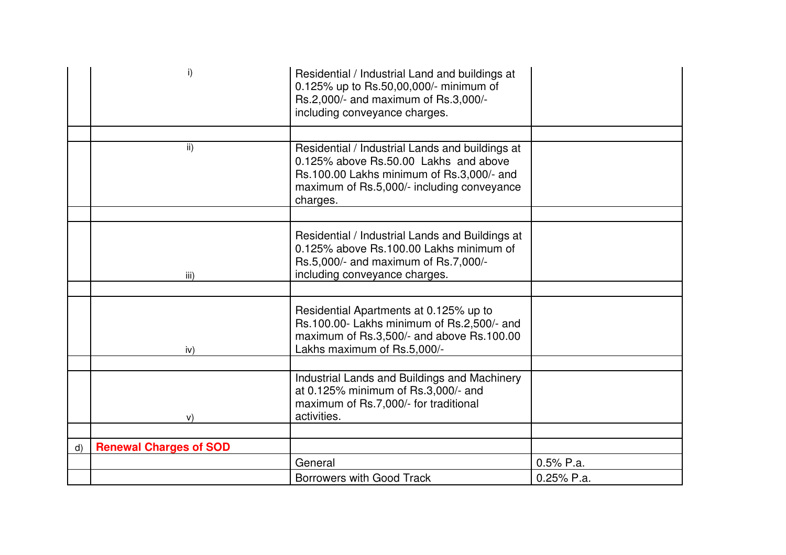|              | i)                            | Residential / Industrial Land and buildings at<br>0.125% up to Rs.50,00,000/- minimum of<br>Rs.2,000/- and maximum of Rs.3,000/-<br>including conveyance charges.                               |              |
|--------------|-------------------------------|-------------------------------------------------------------------------------------------------------------------------------------------------------------------------------------------------|--------------|
|              |                               |                                                                                                                                                                                                 |              |
|              | $\mathsf{ii}$                 | Residential / Industrial Lands and buildings at<br>0.125% above Rs.50.00 Lakhs and above<br>Rs.100.00 Lakhs minimum of Rs.3,000/- and<br>maximum of Rs.5,000/- including conveyance<br>charges. |              |
|              |                               |                                                                                                                                                                                                 |              |
|              | iii)                          | Residential / Industrial Lands and Buildings at<br>0.125% above Rs.100.00 Lakhs minimum of<br>Rs.5,000/- and maximum of Rs.7,000/-<br>including conveyance charges.                             |              |
|              |                               |                                                                                                                                                                                                 |              |
|              | iv)                           | Residential Apartments at 0.125% up to<br>Rs.100.00- Lakhs minimum of Rs.2,500/- and<br>maximum of Rs.3,500/- and above Rs.100.00<br>Lakhs maximum of Rs.5,000/-                                |              |
|              |                               |                                                                                                                                                                                                 |              |
|              | V)                            | Industrial Lands and Buildings and Machinery<br>at 0.125% minimum of Rs.3,000/- and<br>maximum of Rs.7,000/- for traditional<br>activities.                                                     |              |
|              |                               |                                                                                                                                                                                                 |              |
| $\mathsf{d}$ | <b>Renewal Charges of SOD</b> |                                                                                                                                                                                                 |              |
|              |                               | General                                                                                                                                                                                         | $0.5%$ P.a.  |
|              |                               | <b>Borrowers with Good Track</b>                                                                                                                                                                | $0.25%$ P.a. |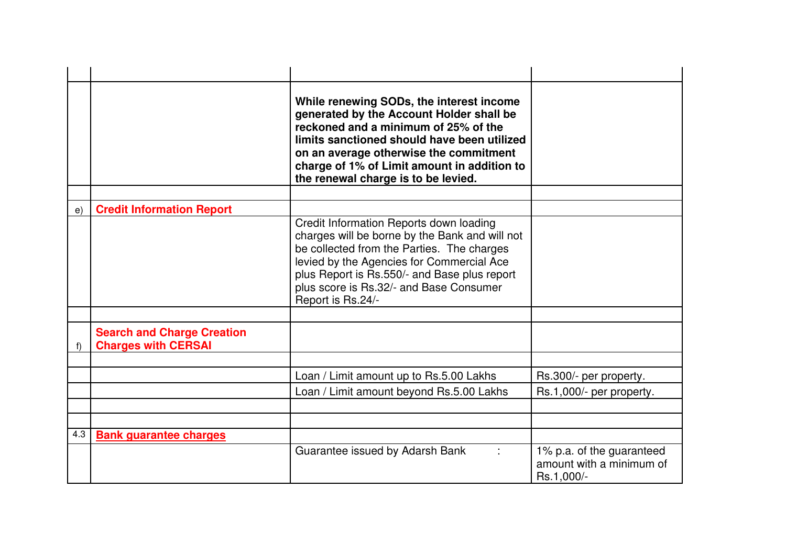|     |                                                                 | While renewing SODs, the interest income<br>generated by the Account Holder shall be<br>reckoned and a minimum of 25% of the<br>limits sanctioned should have been utilized<br>on an average otherwise the commitment<br>charge of 1% of Limit amount in addition to<br>the renewal charge is to be levied. |                                                                     |
|-----|-----------------------------------------------------------------|-------------------------------------------------------------------------------------------------------------------------------------------------------------------------------------------------------------------------------------------------------------------------------------------------------------|---------------------------------------------------------------------|
|     |                                                                 |                                                                                                                                                                                                                                                                                                             |                                                                     |
| e)  | <b>Credit Information Report</b>                                |                                                                                                                                                                                                                                                                                                             |                                                                     |
|     |                                                                 | Credit Information Reports down loading<br>charges will be borne by the Bank and will not<br>be collected from the Parties. The charges<br>levied by the Agencies for Commercial Ace<br>plus Report is Rs.550/- and Base plus report<br>plus score is Rs.32/- and Base Consumer<br>Report is Rs.24/-        |                                                                     |
|     |                                                                 |                                                                                                                                                                                                                                                                                                             |                                                                     |
|     | <b>Search and Charge Creation</b><br><b>Charges with CERSAI</b> |                                                                                                                                                                                                                                                                                                             |                                                                     |
|     |                                                                 |                                                                                                                                                                                                                                                                                                             |                                                                     |
|     |                                                                 | Loan / Limit amount up to Rs.5.00 Lakhs                                                                                                                                                                                                                                                                     | Rs.300/- per property.                                              |
|     |                                                                 | Loan / Limit amount beyond Rs.5.00 Lakhs                                                                                                                                                                                                                                                                    | Rs.1,000/- per property.                                            |
|     |                                                                 |                                                                                                                                                                                                                                                                                                             |                                                                     |
|     |                                                                 |                                                                                                                                                                                                                                                                                                             |                                                                     |
| 4.3 | <b>Bank guarantee charges</b>                                   |                                                                                                                                                                                                                                                                                                             |                                                                     |
|     |                                                                 | Guarantee issued by Adarsh Bank                                                                                                                                                                                                                                                                             | 1% p.a. of the guaranteed<br>amount with a minimum of<br>Rs.1,000/- |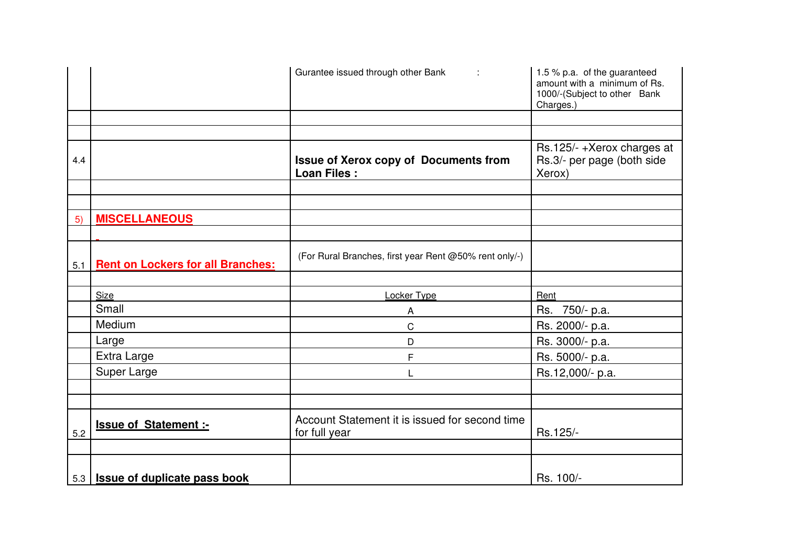|     |                                           | Gurantee issued through other Bank :                               | 1.5 % p.a. of the guaranteed<br>amount with a minimum of Rs.<br>1000/-(Subject to other Bank<br>Charges.) |
|-----|-------------------------------------------|--------------------------------------------------------------------|-----------------------------------------------------------------------------------------------------------|
|     |                                           |                                                                    |                                                                                                           |
|     |                                           |                                                                    |                                                                                                           |
| 4.4 |                                           | <b>Issue of Xerox copy of Documents from</b><br><b>Loan Files:</b> | Rs.125/-+Xerox charges at<br>Rs.3/- per page (both side<br>Xerox)                                         |
|     |                                           |                                                                    |                                                                                                           |
|     |                                           |                                                                    |                                                                                                           |
| 5)  | <b>MISCELLANEOUS</b>                      |                                                                    |                                                                                                           |
|     |                                           |                                                                    |                                                                                                           |
| 5.1 | <b>Rent on Lockers for all Branches:</b>  | (For Rural Branches, first year Rent @50% rent only/-)             |                                                                                                           |
|     |                                           |                                                                    |                                                                                                           |
|     | Size                                      | Locker Type                                                        | Rent                                                                                                      |
|     | Small                                     | A                                                                  | Rs. 750/- p.a.                                                                                            |
|     | Medium                                    | $\mathsf{C}$                                                       | Rs. 2000/- p.a.                                                                                           |
|     | Large                                     | D                                                                  | Rs. 3000/- p.a.                                                                                           |
|     | Extra Large                               | F                                                                  | Rs. 5000/- p.a.                                                                                           |
|     | Super Large                               |                                                                    | Rs.12,000/- p.a.                                                                                          |
|     |                                           |                                                                    |                                                                                                           |
|     |                                           |                                                                    |                                                                                                           |
| 5.2 | Issue of Statement :-                     | Account Statement it is issued for second time<br>for full year    | Rs.125/-                                                                                                  |
|     |                                           |                                                                    |                                                                                                           |
|     | 5.3   <b>Issue of duplicate pass book</b> |                                                                    | Rs. 100/-                                                                                                 |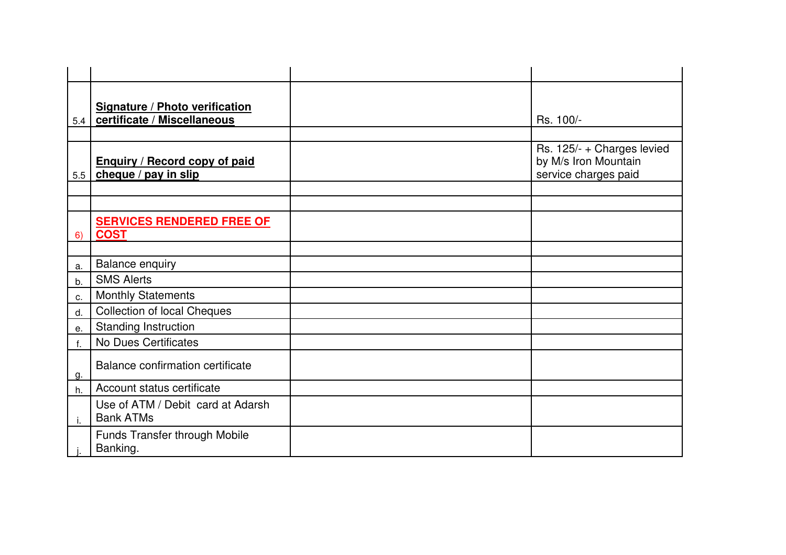|     | Signature / Photo verification<br>5.4   certificate / Miscellaneous | Rs. 100/-                                                                  |
|-----|---------------------------------------------------------------------|----------------------------------------------------------------------------|
|     |                                                                     |                                                                            |
| 5.5 | <b>Enquiry / Record copy of paid</b><br>cheque / pay in slip        | Rs. 125/- + Charges levied<br>by M/s Iron Mountain<br>service charges paid |
|     |                                                                     |                                                                            |
|     |                                                                     |                                                                            |
| 6)  | <b>SERVICES RENDERED FREE OF</b><br><b>COST</b>                     |                                                                            |
|     |                                                                     |                                                                            |
| a.  | <b>Balance enquiry</b>                                              |                                                                            |
| b.  | <b>SMS Alerts</b>                                                   |                                                                            |
| c.  | <b>Monthly Statements</b>                                           |                                                                            |
| d.  | <b>Collection of local Cheques</b>                                  |                                                                            |
| е.  | <b>Standing Instruction</b>                                         |                                                                            |
|     | <b>No Dues Certificates</b>                                         |                                                                            |
| g.  | Balance confirmation certificate                                    |                                                                            |
| h.  | Account status certificate                                          |                                                                            |
| j.  | Use of ATM / Debit card at Adarsh<br><b>Bank ATMs</b>               |                                                                            |
|     | Funds Transfer through Mobile<br>Banking.                           |                                                                            |